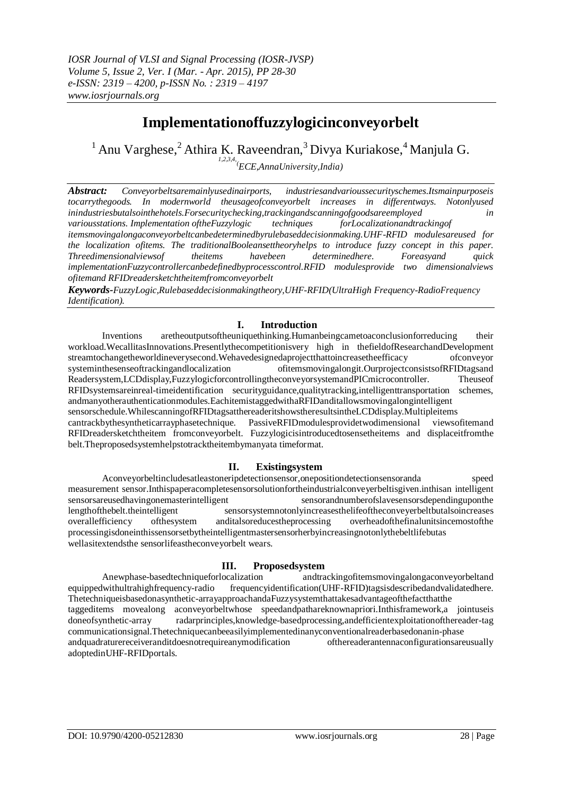# **Implementationoffuzzylogicinconveyorbelt**

 $1$ Anu Varghese,<sup>2</sup>Athira K. Raveendran,<sup>3</sup> Divya Kuriakose,<sup>4</sup> Manjula G. *1,2,3,4, (ECE,AnnaUniversity,India)*

*Abstract: Conveyorbeltsaremainlyusedinairports, industriesandvarioussecurityschemes.Itsmainpurposeis tocarrythegoods. In modernworld theusageofconveyorbelt increases in differentways. Notonlyused inindustriesbutalsointhehotels.Forsecuritychecking,trackingandscanningofgoodsareemployed in variousstations. Implementation oftheFuzzylogic techniques forLocalizationandtrackingof itemsmovingalongaconveyorbeltcanbedeterminedbyrulebaseddecisionmaking.UHF-RFID modulesareused for the localization ofitems. The traditionalBooleansettheoryhelps to introduce fuzzy concept in this paper. Threedimensionalviewsof theitems havebeen determinedhere. Foreasyand quick implementationFuzzycontrollercanbedefinedbyprocesscontrol.RFID modulesprovide two dimensionalviews ofitemand RFIDreadersketchtheitemfromconveyorbelt*

*Keywords-FuzzyLogic,Rulebaseddecisionmakingtheory,UHF-RFID(UltraHigh Frequency-RadioFrequency Identification).*

### **I. Introduction**

Inventions aretheoutputsoftheuniquethinking.Humanbeingcametoaconclusionforreducing their workload.WecallitasInnovations.Presentlythecompetitionisvery high in thefieldofResearchandDevelopment streamtochangetheworldineverysecond.Wehavedesignedaprojectthattoincreasetheefficacy ofconveyor systeminthesenseoftrackingandlocalization ofitemsmovingalongit.OurprojectconsistsofRFIDtagsand Readersystem,LCDdisplay,FuzzylogicforcontrollingtheconveyorsystemandPICmicrocontroller. Theuseof RFIDsystemsareinreal-timeidentification securityguidance,qualitytracking,intelligenttransportation schemes, andmanyotherauthenticationmodules.EachitemistaggedwithaRFIDanditallowsmovingalongintelligent sensorschedule.WhilescanningofRFIDtagsatthereaderitshowstheresultsintheLCDdisplay.Multipleitems cantrackbythesyntheticarrayphasetechnique. PassiveRFIDmodulesprovidetwodimensional viewsofitemand RFIDreadersketchtheitem fromconveyorbelt. Fuzzylogicisintroducedtosensetheitems and displaceitfromthe belt.Theproposedsystemhelpstotracktheitembymanyata timeformat.

#### **II. Existingsystem**

Aconveyorbeltincludesatleastoneripdetectionsensor,onepositiondetectionsensoranda speed measurement sensor.Inthispaperacompletesensorsolutionfortheindustrialconveyerbeltisgiven.inthisan intelligent sensorsareusedhavingonemasterintelligent sensorandnumberofslavesensorsdependinguponthe lengthofthebelt.theintelligent sensorsystemnotonlyincreasesthelifeoftheconveyerbeltbutalsoincreases overallefficiency ofthesystem anditalsoreducestheprocessing overheadofthefinalunitsincemostofthe processingisdoneinthissensorsetbytheintelligentmastersensorherbyincreasingnotonlythebeltlifebutas wellasitextendsthe sensorlifeastheconveyorbelt wears.

#### **III. Proposedsystem**

Anewphase-basedtechniqueforlocalization andtrackingofitemsmovingalongaconveyorbeltand equippedwithultrahighfrequency-radio frequencyidentification(UHF-RFID)tagsisdescribedandvalidatedhere. Thetechniqueisbasedonasynthetic-arrayapproachandaFuzzysystemthattakesadvantageofthefactthatthe taggeditems movealong aconveyorbeltwhose speedandpathareknownapriori.Inthisframework,a jointuseis doneofsynthetic-array radarprinciples,knowledge-basedprocessing,andefficientexploitationofthereader-tag communicationsignal.Thetechniquecanbeeasilyimplementedinanyconventionalreaderbasedonanin-phase andquadraturereceiveranditdoesnotrequireanymodification ofthereaderantennaconfigurationsareusually adoptedinUHF-RFIDportals.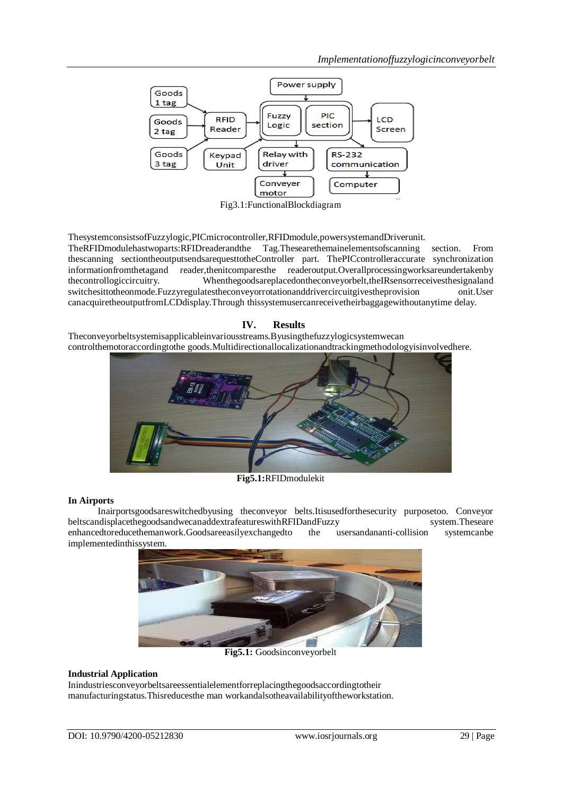

ThesystemconsistsofFuzzylogic,PICmicrocontroller,RFIDmodule,powersystemandDriverunit.

TheRFIDmodulehastwoparts:RFIDreaderandthe Tag.Thesearethemainelementsofscanning section. From thescanning sectiontheoutputsendsarequesttotheController part. ThePICcontrolleraccurate synchronization informationfromthetagand reader,thenitcomparesthe readeroutput.Overallprocessingworksareundertakenby thecontrollogiccircuitry. Whenthegoodsareplacedontheconveyorbelt,theIRsensorreceivesthesignaland switchesittotheonmode.Fuzzyregulatestheconveyorrotationanddrivercircuitgivestheprovision onit.User canacquiretheoutputfromLCDdisplay.Through thissystemusercanreceivetheirbaggagewithoutanytime delay.

## **IV. Results** Theconveyorbeltsystemisapplicableinvariousstreams.Byusingthefuzzylogicsystemwecan controlthemotoraccordingtothe goods.Multidirectionallocalizationandtrackingmethodologyisinvolvedhere.



**Fig5.1:**RFIDmodulekit

#### **In Airports**

Inairportsgoodsareswitchedbyusing theconveyor belts.Itisusedforthesecurity purposetoo. Conveyor beltscandisplacethegoodsandwecanaddextrafeatureswithRFIDandFuzzy system.Theseare enhancedtoreducethemanwork.Goodsareeasilyexchangedto the usersandananti-collision systemcanbe implementedinthissystem.



**Fig5.1:** Goodsinconveyorbelt

#### **Industrial Application**

Inindustriesconveyorbeltsareessentialelementforreplacingthegoodsaccordingtotheir manufacturingstatus.Thisreducesthe man workandalsotheavailabilityoftheworkstation.